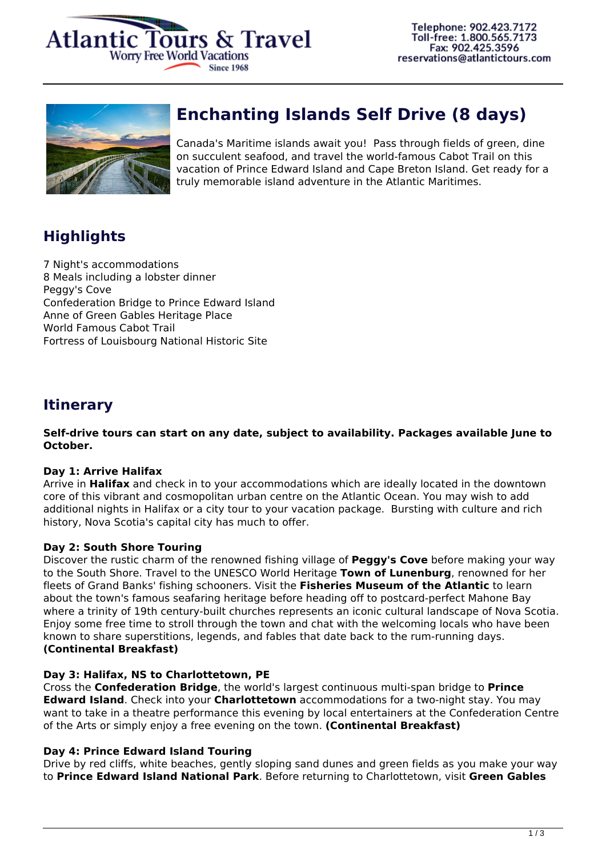



# **Enchanting Islands Self Drive (8 days)**

Canada's Maritime islands await you! Pass through fields of green, dine on succulent seafood, and travel the world-famous Cabot Trail on this vacation of Prince Edward Island and Cape Breton Island. Get ready for a truly memorable island adventure in the Atlantic Maritimes.

# **Highlights**

7 Night's accommodations 8 Meals including a lobster dinner Peggy's Cove Confederation Bridge to Prince Edward Island Anne of Green Gables Heritage Place World Famous Cabot Trail Fortress of Louisbourg National Historic Site

# **Itinerary**

**Self-drive tours can start on any date, subject to availability. Packages available June to October.**

## **Day 1: Arrive Halifax**

Arrive in **Halifax** and check in to your accommodations which are ideally located in the downtown core of this vibrant and cosmopolitan urban centre on the Atlantic Ocean. You may wish to add additional nights in Halifax or a city tour to your vacation package. Bursting with culture and rich history, Nova Scotia's capital city has much to offer.

## **Day 2: South Shore Touring**

Discover the rustic charm of the renowned fishing village of **Peggy's Cove** before making your way to the South Shore. Travel to the UNESCO World Heritage **Town of Lunenburg**, renowned for her fleets of Grand Banks' fishing schooners. Visit the **Fisheries Museum of the Atlantic** to learn about the town's famous seafaring heritage before heading off to postcard-perfect Mahone Bay where a trinity of 19th century-built churches represents an iconic cultural landscape of Nova Scotia. Enjoy some free time to stroll through the town and chat with the welcoming locals who have been known to share superstitions, legends, and fables that date back to the rum-running days. **(Continental Breakfast)**

## **Day 3: Halifax, NS to Charlottetown, PE**

Cross the **Confederation Bridge**, the world's largest continuous multi-span bridge to **Prince Edward Island**. Check into your **Charlottetown** accommodations for a two-night stay. You may want to take in a theatre performance this evening by local entertainers at the Confederation Centre of the Arts or simply enjoy a free evening on the town. **(Continental Breakfast)**

## **Day 4: Prince Edward Island Touring**

Drive by red cliffs, white beaches, gently sloping sand dunes and green fields as you make your way to **Prince Edward Island National Park**. Before returning to Charlottetown, visit **Green Gables**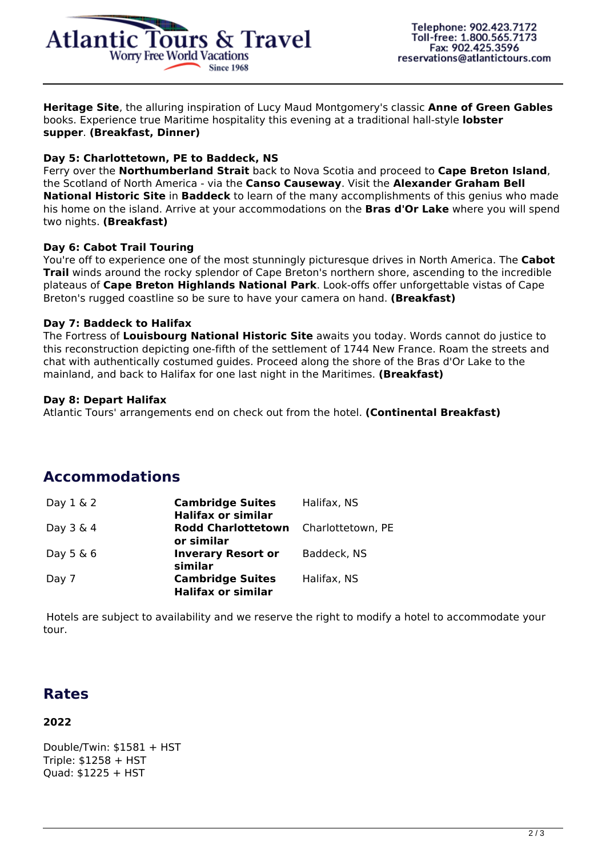

**Heritage Site**, the alluring inspiration of Lucy Maud Montgomery's classic **Anne of Green Gables** books. Experience true Maritime hospitality this evening at a traditional hall-style **lobster supper**. **(Breakfast, Dinner)**

#### **Day 5: Charlottetown, PE to Baddeck, NS**

Ferry over the **Northumberland Strait** back to Nova Scotia and proceed to **Cape Breton Island**, the Scotland of North America - via the **Canso Causeway**. Visit the **Alexander Graham Bell National Historic Site** in **Baddeck** to learn of the many accomplishments of this genius who made his home on the island. Arrive at your accommodations on the **Bras d'Or Lake** where you will spend two nights. **(Breakfast)**

#### **Day 6: Cabot Trail Touring**

You're off to experience one of the most stunningly picturesque drives in North America. The **Cabot Trail** winds around the rocky splendor of Cape Breton's northern shore, ascending to the incredible plateaus of **Cape Breton Highlands National Park**. Look-offs offer unforgettable vistas of Cape Breton's rugged coastline so be sure to have your camera on hand. **(Breakfast)**

#### **Day 7: Baddeck to Halifax**

The Fortress of **Louisbourg National Historic Site** awaits you today. Words cannot do justice to this reconstruction depicting one-fifth of the settlement of 1744 New France. Roam the streets and chat with authentically costumed guides. Proceed along the shore of the Bras d'Or Lake to the mainland, and back to Halifax for one last night in the Maritimes. **(Breakfast)**

#### **Day 8: Depart Halifax**

Atlantic Tours' arrangements end on check out from the hotel. **(Continental Breakfast)**

# **Accommodations**

| Day $1 \& 2$ | <b>Cambridge Suites</b><br><b>Halifax or similar</b> | Halifax, NS       |
|--------------|------------------------------------------------------|-------------------|
| Day $3 \& 4$ | <b>Rodd Charlottetown</b><br>or similar              | Charlottetown, PE |
| Day $5 \& 6$ | <b>Inverary Resort or</b><br>similar                 | Baddeck, NS       |
| Day 7        | <b>Cambridge Suites</b><br><b>Halifax or similar</b> | Halifax, NS       |

 Hotels are subject to availability and we reserve the right to modify a hotel to accommodate your tour.

# **Rates**

## **2022**

Double/Twin: \$1581 + HST Triple: \$1258 + HST Quad: \$1225 + HST